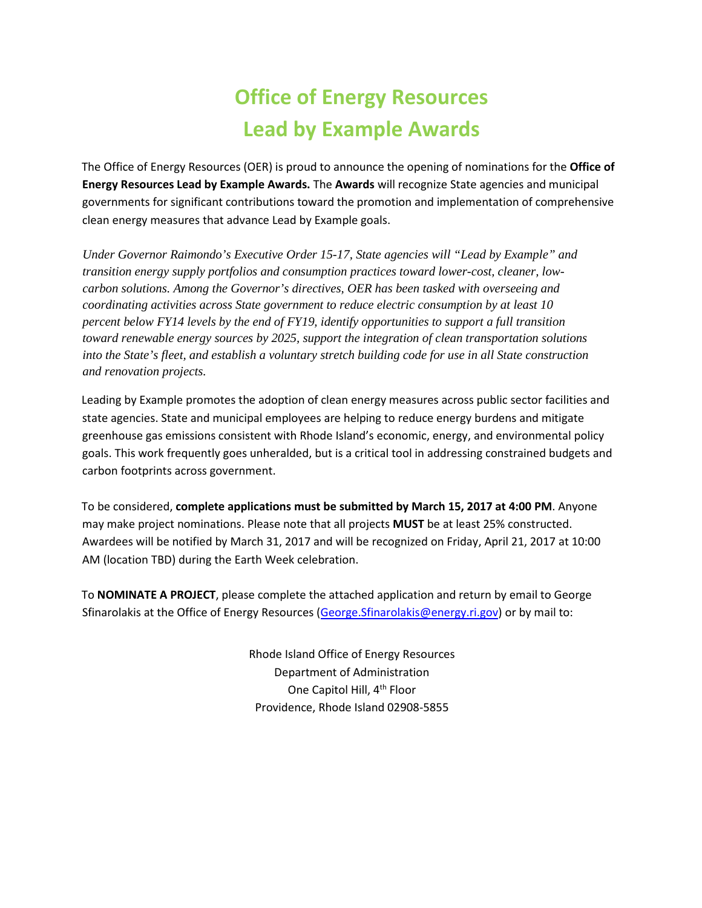## **Office of Energy Resources Lead by Example Awards**

The Office of Energy Resources (OER) is proud to announce the opening of nominations for the **Office of Energy Resources Lead by Example Awards.** The **Awards** will recognize State agencies and municipal governments for significant contributions toward the promotion and implementation of comprehensive clean energy measures that advance Lead by Example goals.

*Under Governor Raimondo's Executive Order 15-17, State agencies will "Lead by Example" and transition energy supply portfolios and consumption practices toward lower-cost, cleaner, lowcarbon solutions. Among the Governor's directives, OER has been tasked with overseeing and coordinating activities across State government to reduce electric consumption by at least 10 percent below FY14 levels by the end of FY19, identify opportunities to support a full transition toward renewable energy sources by 2025, support the integration of clean transportation solutions into the State's fleet, and establish a voluntary stretch building code for use in all State construction and renovation projects.* 

Leading by Example promotes the adoption of clean energy measures across public sector facilities and state agencies. State and municipal employees are helping to reduce energy burdens and mitigate greenhouse gas emissions consistent with Rhode Island's economic, energy, and environmental policy goals. This work frequently goes unheralded, but is a critical tool in addressing constrained budgets and carbon footprints across government.

To be considered, **complete applications must be submitted by March 15, 2017 at 4:00 PM**. Anyone may make project nominations. Please note that all projects **MUST** be at least 25% constructed. Awardees will be notified by March 31, 2017 and will be recognized on Friday, April 21, 2017 at 10:00 AM (location TBD) during the Earth Week celebration.

To **NOMINATE A PROJECT**, please complete the attached application and return by email to George Sfinarolakis at the Office of Energy Resources [\(George.Sfinarolakis@energy.ri.gov\)](mailto:George.Sfinarolakis@energy.ri.gov) or by mail to:

> Rhode Island Office of Energy Resources Department of Administration One Capitol Hill, 4th Floor Providence, Rhode Island 02908-5855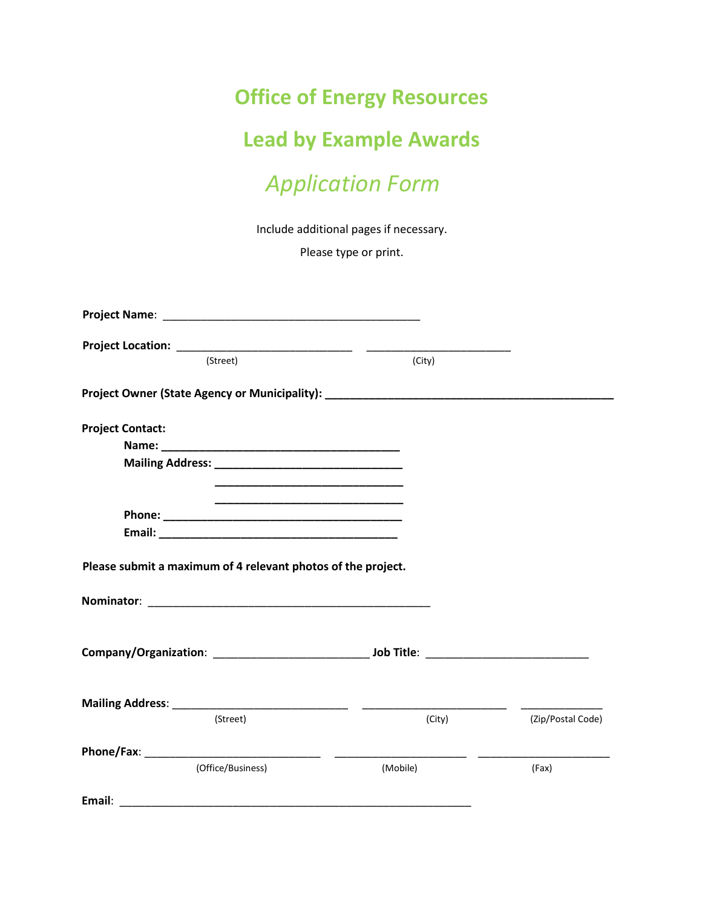## **Office of Energy Resources**

## **Lead by Example Awards**

## *Application Form*

Include additional pages if necessary.

Please type or print.

| (Street)                                                                                                              | (City)   |                   |
|-----------------------------------------------------------------------------------------------------------------------|----------|-------------------|
| Project Owner (State Agency or Municipality): __________________________________                                      |          |                   |
| <b>Project Contact:</b>                                                                                               |          |                   |
|                                                                                                                       |          |                   |
| <u> 1989 - Johann John Stone, markin amerikan basar dan berkembang dan berkembang dan basar dan berkembang dan be</u> |          |                   |
|                                                                                                                       |          |                   |
|                                                                                                                       |          |                   |
|                                                                                                                       |          |                   |
| Please submit a maximum of 4 relevant photos of the project.                                                          |          |                   |
|                                                                                                                       |          |                   |
|                                                                                                                       |          |                   |
|                                                                                                                       |          |                   |
| (Street)                                                                                                              | (City)   | (Zip/Postal Code) |
|                                                                                                                       |          |                   |
| (Office/Business)                                                                                                     | (Mobile) | (Fax)             |